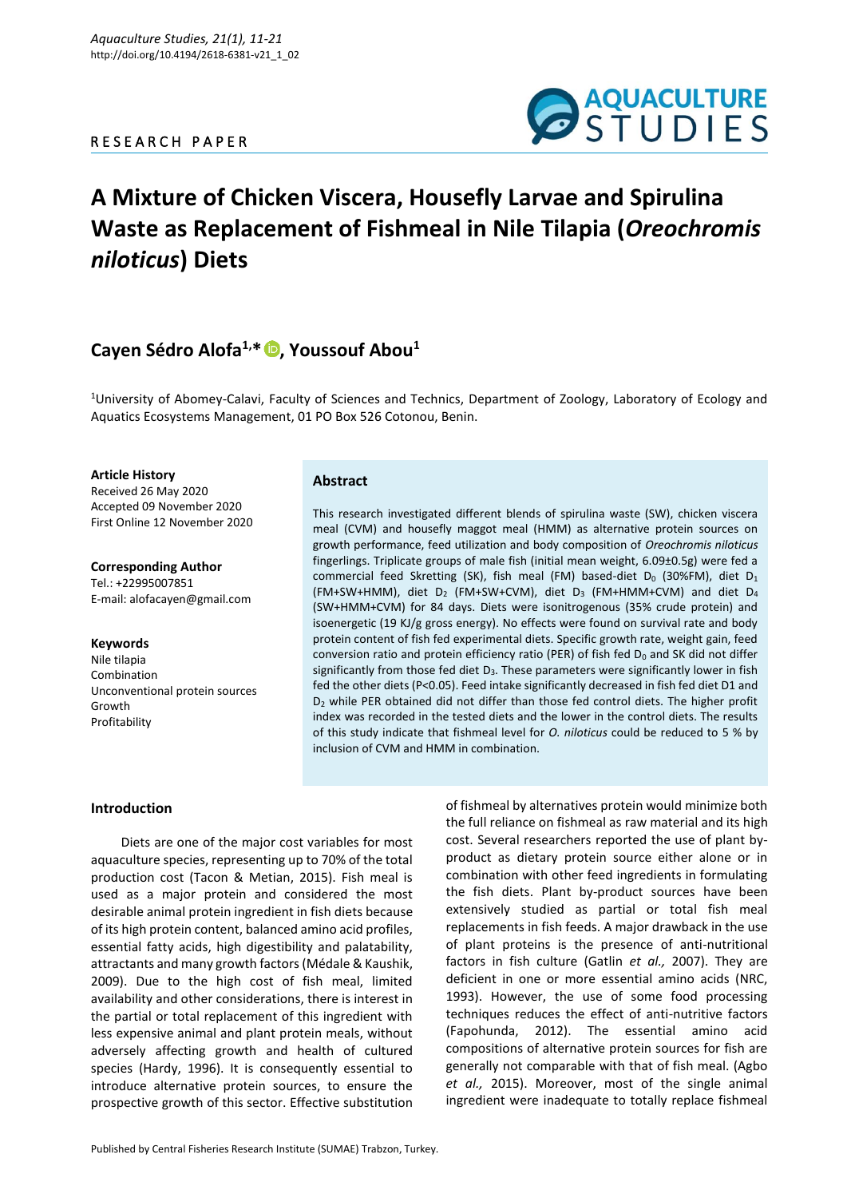### R E S E A R C H P A P E R



# **A Mixture of Chicken Viscera, Housefly Larvae and Spirulina Waste as Replacement of Fishmeal in Nile Tilapia (***Oreochromis niloticus***) Diets**

## **Cayen Sédro Alofa1,\* [,](https://orcid.org/0000-0002-3412-3362) Youssouf Abou<sup>1</sup>**

<sup>1</sup>University of Abomey-Calavi, Faculty of Sciences and Technics, Department of Zoology, Laboratory of Ecology and Aquatics Ecosystems Management, 01 PO Box 526 Cotonou, Benin.

#### **Article History**

Received 26 May 2020 Accepted 09 November 2020 First Online 12 November 2020

**Corresponding Author** Tel.: +22995007851 E-mail: alofacayen@gmail.com

#### **Keywords**

Nile tilapia Combination Unconventional protein sources Growth Profitability

#### **Abstract**

This research investigated different blends of spirulina waste (SW), chicken viscera meal (CVM) and housefly maggot meal (HMM) as alternative protein sources on growth performance, feed utilization and body composition of *Oreochromis niloticus* fingerlings. Triplicate groups of male fish (initial mean weight, 6.09±0.5g) were fed a commercial feed Skretting (SK), fish meal (FM) based-diet  $D_0$  (30%FM), diet  $D_1$ (FM+SW+HMM), diet  $D_2$  (FM+SW+CVM), diet  $D_3$  (FM+HMM+CVM) and diet  $D_4$ (SW+HMM+CVM) for 84 days. Diets were isonitrogenous (35% crude protein) and isoenergetic (19 KJ/g gross energy). No effects were found on survival rate and body protein content of fish fed experimental diets. Specific growth rate, weight gain, feed conversion ratio and protein efficiency ratio (PER) of fish fed  $D_0$  and SK did not differ significantly from those fed diet  $D_3$ . These parameters were significantly lower in fish fed the other diets (P<0.05). Feed intake significantly decreased in fish fed diet D1 and D<sup>2</sup> while PER obtained did not differ than those fed control diets. The higher profit index was recorded in the tested diets and the lower in the control diets. The results of this study indicate that fishmeal level for *O. niloticus* could be reduced to 5 % by inclusion of CVM and HMM in combination.

#### **Introduction**

Diets are one of the major cost variables for most aquaculture species, representing up to 70% of the total production cost (Tacon & Metian, 2015). Fish meal is used as a major protein and considered the most desirable animal protein ingredient in fish diets because of its high protein content, balanced amino acid profiles, essential fatty acids, high digestibility and palatability, attractants and many growth factors (Médale & Kaushik, 2009). Due to the high cost of fish meal, limited availability and other considerations, there is interest in the partial or total replacement of this ingredient with less expensive animal and plant protein meals, without adversely affecting growth and health of cultured species (Hardy, 1996). It is consequently essential to introduce alternative protein sources, to ensure the prospective growth of this sector. Effective substitution

Published by Central Fisheries Research Institute (SUMAE) Trabzon, Turkey.

of fishmeal by alternatives protein would minimize both the full reliance on fishmeal as raw material and its high cost. Several researchers reported the use of plant byproduct as dietary protein source either alone or in combination with other feed ingredients in formulating the fish diets. Plant by-product sources have been extensively studied as partial or total fish meal replacements in fish feeds. A major drawback in the use of plant proteins is the presence of anti-nutritional factors in fish culture (Gatlin *et al.,* 2007). They are deficient in one or more essential amino acids (NRC, 1993). However, the use of some food processing techniques reduces the effect of anti-nutritive factors (Fapohunda, 2012). The essential amino acid compositions of alternative protein sources for fish are generally not comparable with that of fish meal. (Agbo *et al.,* 2015). Moreover, most of the single animal ingredient were inadequate to totally replace fishmeal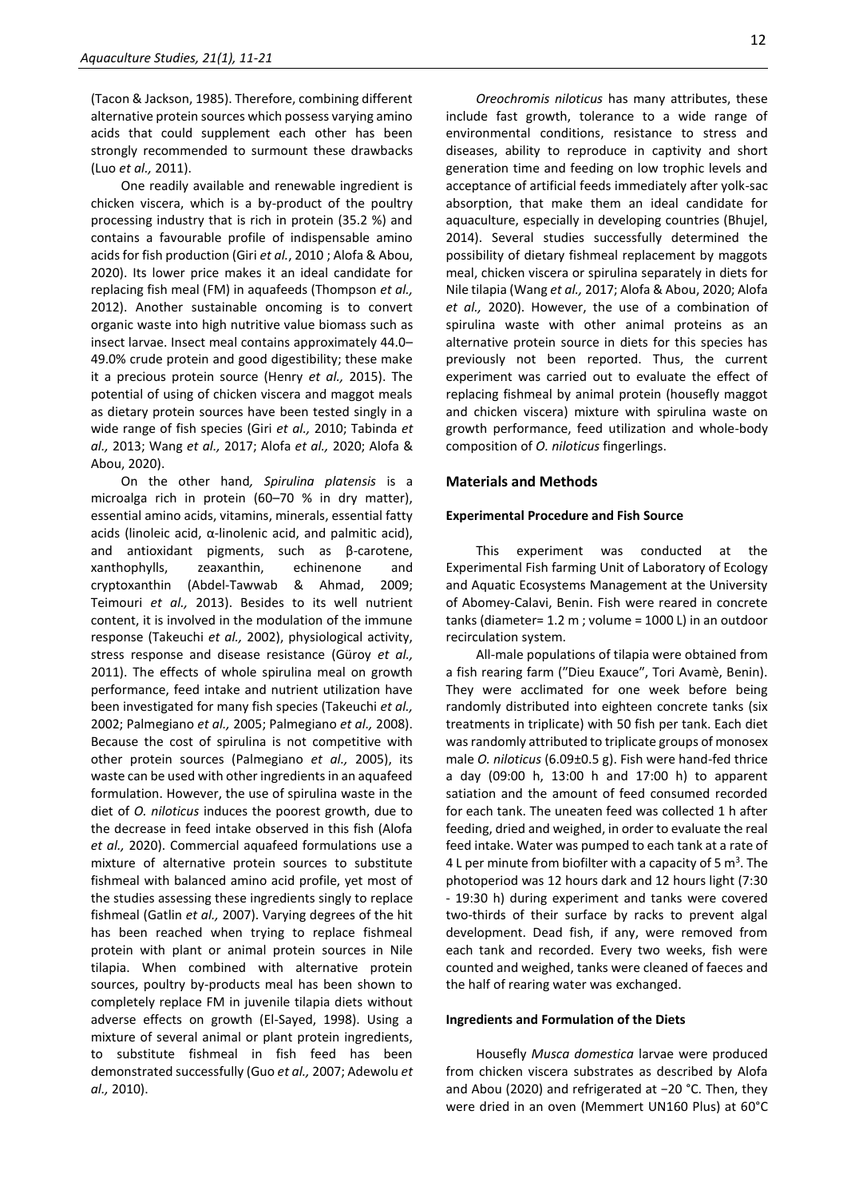(Tacon & Jackson, 1985). Therefore, combining different alternative protein sources which possess varying amino acids that could supplement each other has been strongly recommended to surmount these drawbacks (Luo *et al.,* 2011).

One readily available and renewable ingredient is chicken viscera, which is a by-product of the poultry processing industry that is rich in protein (35.2 %) and contains a favourable profile of indispensable amino acids for fish production (Giri *et al.*, 2010 ; Alofa & Abou, 2020). Its lower price makes it an ideal candidate for replacing fish meal (FM) in aquafeeds (Thompson *et al.,* 2012). Another sustainable oncoming is to convert organic waste into high nutritive value biomass such as insect larvae. Insect meal contains approximately 44.0– 49.0% crude protein and good digestibility; these make it a precious protein source (Henry *et al.,* 2015). The potential of using of chicken viscera and maggot meals as dietary protein sources have been tested singly in a wide range of fish species (Giri *et al.,* 2010; Tabinda *et al.,* 2013; Wang *et al.,* 2017; Alofa *et al.,* 2020; Alofa & Abou, 2020).

On the other hand*, Spirulina platensis* is a microalga rich in protein (60–70 % in dry matter), essential amino acids, vitamins, minerals, essential fatty acids (linoleic acid, α-linolenic acid, and palmitic acid), and antioxidant pigments, such as β-carotene, xanthophylls, zeaxanthin, echinenone and cryptoxanthin (Abdel-Tawwab & Ahmad, 2009; Teimouri *et al.,* 2013). Besides to its well nutrient content, it is involved in the modulation of the immune response (Takeuchi *et al.,* 2002), physiological activity, stress response and disease resistance (Güroy *et al.,* 2011). The effects of whole spirulina meal on growth performance, feed intake and nutrient utilization have been investigated for many fish species (Takeuchi *et al.,* 2002; Palmegiano *et al.,* 2005; Palmegiano *et al.,* 2008). Because the cost of spirulina is not competitive with other protein sources (Palmegiano *et al.,* 2005), its waste can be used with other ingredients in an aquafeed formulation. However, the use of spirulina waste in the diet of *O. niloticus* induces the poorest growth, due to the decrease in feed intake observed in this fish (Alofa *et al.,* 2020). Commercial aquafeed formulations use a mixture of alternative protein sources to substitute fishmeal with balanced amino acid profile, yet most of the studies assessing these ingredients singly to replace fishmeal (Gatlin *et al.,* 2007). Varying degrees of the hit has been reached when trying to replace fishmeal protein with plant or animal protein sources in Nile tilapia. When combined with alternative protein sources, poultry by-products meal has been shown to completely replace FM in juvenile tilapia diets without adverse effects on growth (El-Sayed, 1998). Using a mixture of several animal or plant protein ingredients, to substitute fishmeal in fish feed has been demonstrated successfully (Guo *et al.,* 2007; Adewolu *et al.,* 2010).

*Oreochromis niloticus* has many attributes, these include fast growth, tolerance to a wide range of environmental conditions, resistance to stress and diseases, ability to reproduce in captivity and short generation time and feeding on low trophic levels and acceptance of artificial feeds immediately after yolk-sac absorption, that make them an ideal candidate for aquaculture, especially in developing countries (Bhujel, 2014). Several studies successfully determined the possibility of dietary fishmeal replacement by maggots meal, chicken viscera or spirulina separately in diets for Nile tilapia (Wang *et al.,* 2017; Alofa & Abou, 2020; Alofa *et al.,* 2020). However, the use of a combination of spirulina waste with other animal proteins as an alternative protein source in diets for this species has previously not been reported. Thus, the current experiment was carried out to evaluate the effect of replacing fishmeal by animal protein (housefly maggot and chicken viscera) mixture with spirulina waste on growth performance, feed utilization and whole-body composition of *O. niloticus* fingerlings.

#### **Materials and Methods**

#### **Experimental Procedure and Fish Source**

This experiment was conducted at the Experimental Fish farming Unit of Laboratory of Ecology and Aquatic Ecosystems Management at the University of Abomey-Calavi, Benin. Fish were reared in concrete tanks (diameter= 1.2 m ; volume = 1000 L) in an outdoor recirculation system.

All-male populations of tilapia were obtained from a fish rearing farm (″Dieu Exauce″, Tori Avamè, Benin). They were acclimated for one week before being randomly distributed into eighteen concrete tanks (six treatments in triplicate) with 50 fish per tank. Each diet was randomly attributed to triplicate groups of monosex male *O. niloticus* (6.09±0.5 g). Fish were hand-fed thrice a day (09:00 h, 13:00 h and 17:00 h) to apparent satiation and the amount of feed consumed recorded for each tank. The uneaten feed was collected 1 h after feeding, dried and weighed, in order to evaluate the real feed intake. Water was pumped to each tank at a rate of 4 L per minute from biofilter with a capacity of 5  $m<sup>3</sup>$ . The photoperiod was 12 hours dark and 12 hours light (7:30 - 19:30 h) during experiment and tanks were covered two-thirds of their surface by racks to prevent algal development. Dead fish, if any, were removed from each tank and recorded. Every two weeks, fish were counted and weighed, tanks were cleaned of faeces and the half of rearing water was exchanged.

#### **Ingredients and Formulation of the Diets**

Housefly *Musca domestica* larvae were produced from chicken viscera substrates as described by Alofa and Abou (2020) and refrigerated at −20 °C. Then, they were dried in an oven (Memmert UN160 Plus) at 60°C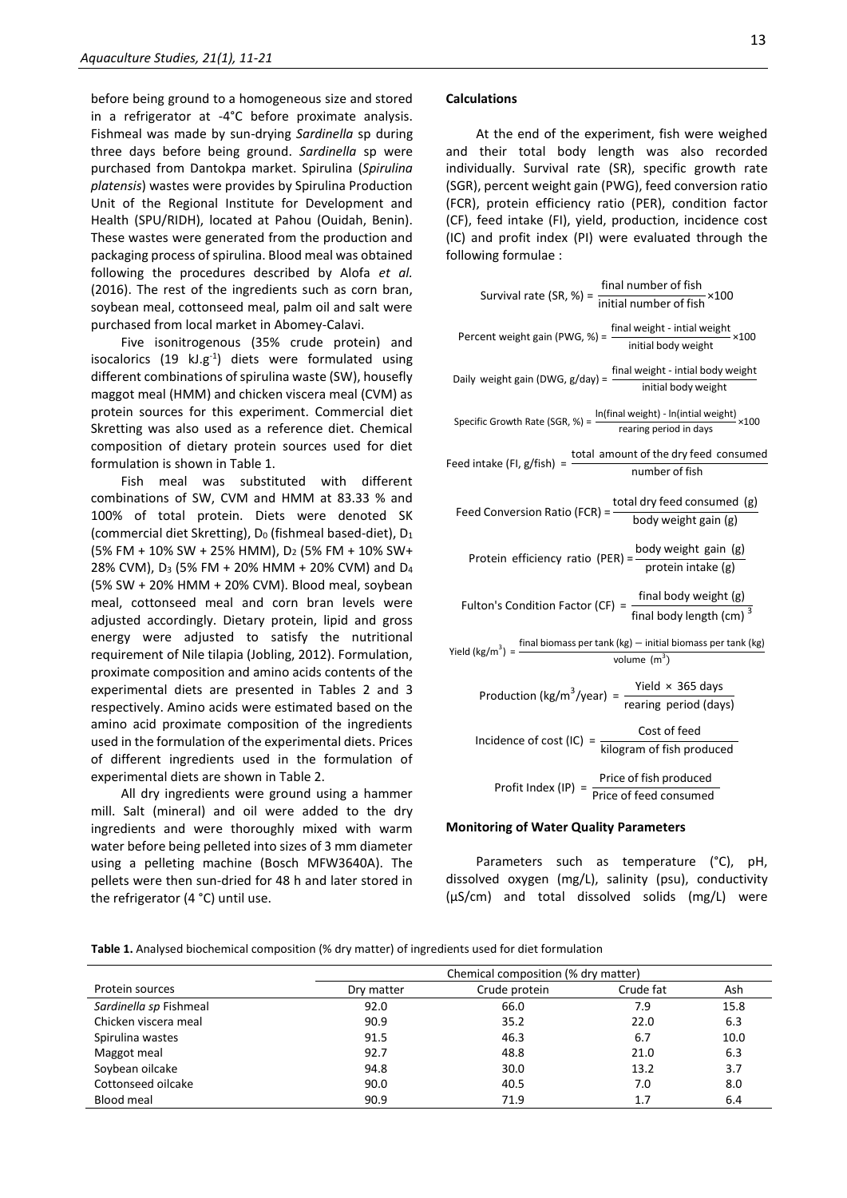before being ground to a homogeneous size and stored in a refrigerator at -4°C before proximate analysis. Fishmeal was made by sun-drying *Sardinella* sp during three days before being ground. *Sardinella* sp were purchased from Dantokpa market. Spirulina (*Spirulina platensis*) wastes were provides by Spirulina Production Unit of the Regional Institute for Development and Health (SPU/RIDH), located at Pahou (Ouidah, Benin). These wastes were generated from the production and packaging process of spirulina. Blood meal was obtained following the procedures described by Alofa *et al.*  (2016). The rest of the ingredients such as corn bran, soybean meal, cottonseed meal, palm oil and salt were purchased from local market in Abomey-Calavi.

Five isonitrogenous (35% crude protein) and isocalorics  $(19 \text{ kJ} \cdot \text{g}^{-1})$  diets were formulated using different combinations of spirulina waste (SW), housefly maggot meal (HMM) and chicken viscera meal (CVM) as protein sources for this experiment. Commercial diet Skretting was also used as a reference diet. Chemical composition of dietary protein sources used for diet formulation is shown in Table 1.

Fish meal was substituted with different combinations of SW, CVM and HMM at 83.33 % and 100% of total protein. Diets were denoted SK (commercial diet Skretting),  $D_0$  (fishmeal based-diet),  $D_1$ (5% FM + 10% SW + 25% HMM), D<sup>2</sup> (5% FM + 10% SW+ 28% CVM), D<sup>3</sup> (5% FM + 20% HMM + 20% CVM) and D<sup>4</sup> (5% SW + 20% HMM + 20% CVM). Blood meal, soybean meal, cottonseed meal and corn bran levels were adjusted accordingly. Dietary protein, lipid and gross energy were adjusted to satisfy the nutritional requirement of Nile tilapia (Jobling, 2012). Formulation, proximate composition and amino acids contents of the experimental diets are presented in Tables 2 and 3 respectively. Amino acids were estimated based on the amino acid proximate composition of the ingredients used in the formulation of the experimental diets. Prices of different ingredients used in the formulation of experimental diets are shown in Table 2.

All dry ingredients were ground using a hammer mill. Salt (mineral) and oil were added to the dry ingredients and were thoroughly mixed with warm water before being pelleted into sizes of 3 mm diameter using a pelleting machine (Bosch MFW3640A). The pellets were then sun-dried for 48 h and later stored in the refrigerator (4 °C) until use.

#### **Calculations**

At the end of the experiment, fish were weighed and their total body length was also recorded individually. Survival rate (SR), specific growth rate (SGR), percent weight gain (PWG), feed conversion ratio (FCR), protein efficiency ratio (PER), condition factor (CF), feed intake (FI), yield, production, incidence cost (IC) and profit index (PI) were evaluated through the following formulae :

| Survival rate (SR, %) = $\frac{\text{final number of fish}}{\text{initial number of fish}} \times 100$                                   |
|------------------------------------------------------------------------------------------------------------------------------------------|
| Percent weight gain (PWG, %) = $\frac{\text{final weight - initial weight}}{\text{initial body weight}} \times 100$                      |
| Daily weight gain (DWG, $g$ /day) = $\frac{final$ weight - intial body weight                                                            |
| Specific Growth Rate (SGR, %) = $\frac{\ln(\text{final weight}) - \ln(\text{initial weight})}{\text{rearing period in days}} \times 100$ |
| Feed intake (FI, $g$ /fish) = $\frac{\text{total amount of the dry feed consumed}}{\text{number of fish}}$                               |
| Feed Conversion Ratio (FCR) = $\frac{\text{total dry feed consumed (g)}}{\text{body weight gain (g)}}$                                   |
| Protein efficiency ratio (PER) = $\frac{\text{body weight gain (g)}}{\text{protein intake (g)}}$                                         |
| Fulton's Condition Factor (CF) = $\frac{\text{final body weight (g)}}{\text{final body length (cm)}^3}$                                  |
| Yield (kg/m <sup>3</sup> ) = $\frac{\text{final biomass per tank (kg)} - \text{initial biomass per tank (kg)}}{\text{volume (m}^3)}$     |
| Production (kg/m <sup>3</sup> /year) = $\frac{Yield \times 365 \text{ days}}{rearing period (days)}$                                     |
| Incidence of cost (IC) = $\frac{\text{Cost of feed}}{\text{kilogram of fish produced}}$                                                  |
| Profit Index (IP) = $\frac{\text{Price of fish produced}}{\text{Price of feed consumed}}$                                                |

#### **Monitoring of Water Quality Parameters**

Parameters such as temperature (°C), pH, dissolved oxygen (mg/L), salinity (psu), conductivity (µS/cm) and total dissolved solids (mg/L) were

**Table 1.** Analysed biochemical composition (% dry matter) of ingredients used for diet formulation

|                        | Chemical composition (% dry matter) |               |           |      |  |  |
|------------------------|-------------------------------------|---------------|-----------|------|--|--|
| Protein sources        | Dry matter                          | Crude protein | Crude fat | Ash  |  |  |
| Sardinella sp Fishmeal | 92.0                                | 66.0          | 7.9       | 15.8 |  |  |
| Chicken viscera meal   | 90.9                                | 35.2          | 22.0      | 6.3  |  |  |
| Spirulina wastes       | 91.5                                | 46.3          | 6.7       | 10.0 |  |  |
| Maggot meal            | 92.7                                | 48.8          | 21.0      | 6.3  |  |  |
| Soybean oilcake        | 94.8                                | 30.0          | 13.2      | 3.7  |  |  |
| Cottonseed oilcake     | 90.0                                | 40.5          | 7.0       | 8.0  |  |  |
| <b>Blood meal</b>      | 90.9                                | 71.9          | 1.7       | 6.4  |  |  |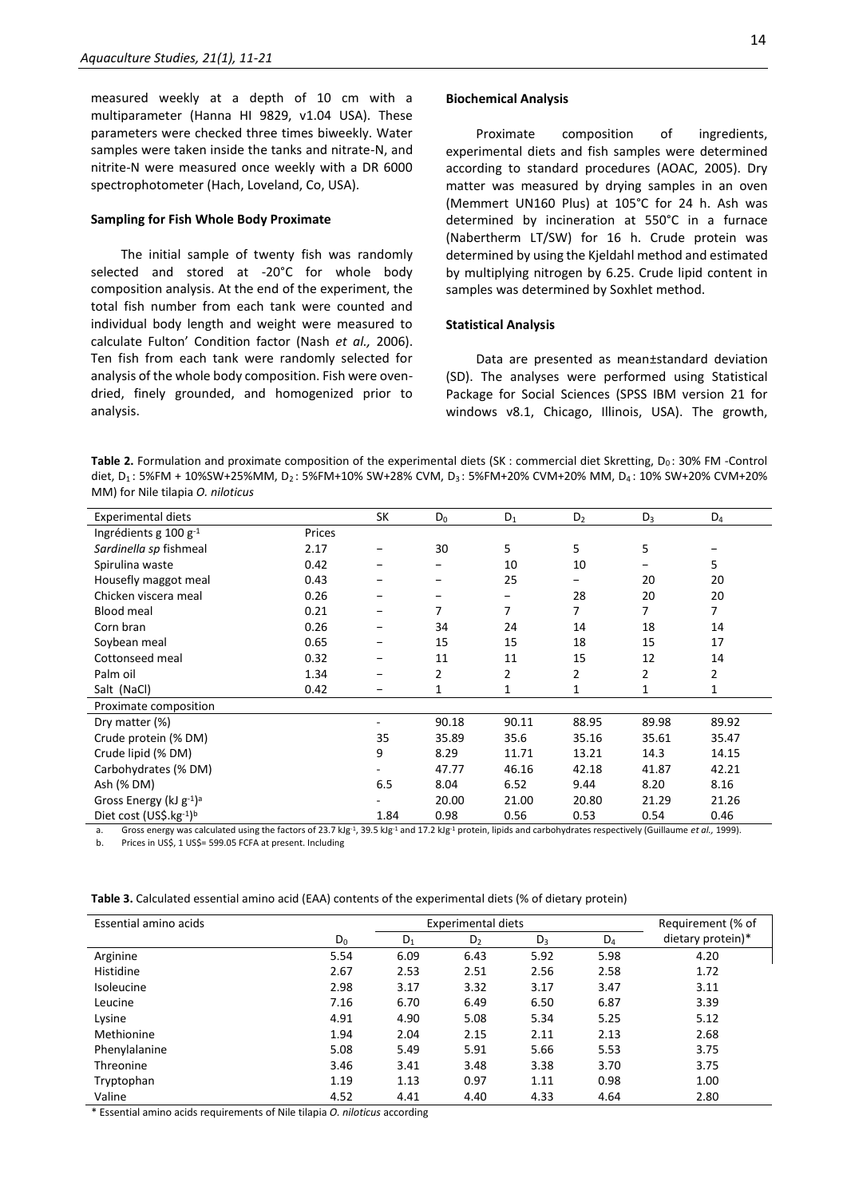measured weekly at a depth of 10 cm with a multiparameter (Hanna HI 9829, v1.04 USA). These parameters were checked three times biweekly. Water samples were taken inside the tanks and nitrate-N, and nitrite-N were measured once weekly with a DR 6000 spectrophotometer (Hach, Loveland, Co, USA).

#### **Sampling for Fish Whole Body Proximate**

The initial sample of twenty fish was randomly selected and stored at -20°C for whole body composition analysis. At the end of the experiment, the total fish number from each tank were counted and individual body length and weight were measured to calculate Fulton' Condition factor (Nash *et al.,* 2006). Ten fish from each tank were randomly selected for analysis of the whole body composition. Fish were ovendried, finely grounded, and homogenized prior to analysis.

#### **Biochemical Analysis**

Proximate composition of ingredients, experimental diets and fish samples were determined according to standard procedures (AOAC, 2005). Dry matter was measured by drying samples in an oven (Memmert UN160 Plus) at 105°C for 24 h. Ash was determined by incineration at 550°C in a furnace (Nabertherm LT/SW) for 16 h. Crude protein was determined by using the Kjeldahl method and estimated by multiplying nitrogen by 6.25. Crude lipid content in samples was determined by Soxhlet method.

#### **Statistical Analysis**

Data are presented as mean±standard deviation (SD). The analyses were performed using Statistical Package for Social Sciences (SPSS IBM version 21 for windows v8.1, Chicago, Illinois, USA). The growth,

Table 2. Formulation and proximate composition of the experimental diets (SK : commercial diet Skretting, D<sub>0</sub>: 30% FM -Control diet, D<sub>1</sub>: 5%FM + 10%SW+25%MM, D<sub>2</sub>: 5%FM+10% SW+28% CVM, D<sub>3</sub>: 5%FM+20% CVM+20% MM, D<sub>4</sub>: 10% SW+20% CVM+20% MM) for Nile tilapia *O. niloticus*

| <b>Experimental diets</b>                                                     |             | SK   | $D_0$ | $D_1$ | D <sub>2</sub> | $D_3$ | $D_4$              |
|-------------------------------------------------------------------------------|-------------|------|-------|-------|----------------|-------|--------------------|
| Ingrédients g $100 g^{-1}$                                                    | Prices      |      |       |       |                |       |                    |
| Sardinella sp fishmeal                                                        | 2.17        |      | 30    | 5     | 5              | 5     |                    |
| Spirulina waste                                                               | 0.42        |      |       | 10    | 10             |       | 5                  |
| Housefly maggot meal                                                          | 0.43        |      |       | 25    |                | 20    | 20                 |
| Chicken viscera meal                                                          | 0.26        |      |       |       | 28             | 20    | 20                 |
| <b>Blood meal</b>                                                             | 0.21        |      | 7     | 7     | 7              | 7     | 7                  |
| Corn bran                                                                     | 0.26        |      | 34    | 24    | 14             | 18    | 14                 |
| Soybean meal                                                                  | 0.65        |      | 15    | 15    | 18             | 15    | 17                 |
| Cottonseed meal                                                               | 0.32        |      | 11    | 11    | 15             | 12    | 14                 |
| Palm oil                                                                      | 1.34        |      | 2     | 2     | $\overline{2}$ | 2     | 2                  |
| Salt (NaCl)                                                                   | 0.42        |      | 1     | 1     |                |       | 1                  |
| Proximate composition                                                         |             |      |       |       |                |       |                    |
| Dry matter (%)                                                                |             |      | 90.18 | 90.11 | 88.95          | 89.98 | 89.92              |
| Crude protein (% DM)                                                          |             | 35   | 35.89 | 35.6  | 35.16          | 35.61 | 35.47              |
| Crude lipid (% DM)                                                            |             | 9    | 8.29  | 11.71 | 13.21          | 14.3  | 14.15              |
| Carbohydrates (% DM)                                                          |             |      | 47.77 | 46.16 | 42.18          | 41.87 | 42.21              |
| Ash (% DM)                                                                    |             | 6.5  | 8.04  | 6.52  | 9.44           | 8.20  | 8.16               |
| Gross Energy (kJ $g^{-1}$ ) <sup>a</sup>                                      |             |      | 20.00 | 21.00 | 20.80          | 21.29 | 21.26              |
| Diet cost (US\$.kg-1)b<br>the contract of the contract of the contract of the | $500 - 111$ | 1.84 | 0.98  | 0.56  | 0.53           | 0.54  | 0.46<br>$\sqrt{2}$ |

a. Gross energy was calculated using the factors of 23.7 kJg<sup>-1</sup>, 39.5 kJg<sup>-1</sup> and 17.2 kJg<sup>-1</sup> protein, lipids and carbohydrates respectively (Guillaume *et al.,* 1999). b. Prices in US\$, 1 US\$= 599.05 FCFA at present. Including

| Table 3. Calculated essential amino acid (EAA) contents of the experimental diets (% of dietary protein) |  |  |  |
|----------------------------------------------------------------------------------------------------------|--|--|--|
|----------------------------------------------------------------------------------------------------------|--|--|--|

| Essential amino acids | Experimental diets |       |                |       |       |                   |  |  |
|-----------------------|--------------------|-------|----------------|-------|-------|-------------------|--|--|
|                       | $D_0$              | $D_1$ | D <sub>2</sub> | $D_3$ | $D_4$ | dietary protein)* |  |  |
| Arginine              | 5.54               | 6.09  | 6.43           | 5.92  | 5.98  | 4.20              |  |  |
| Histidine             | 2.67               | 2.53  | 2.51           | 2.56  | 2.58  | 1.72              |  |  |
| Isoleucine            | 2.98               | 3.17  | 3.32           | 3.17  | 3.47  | 3.11              |  |  |
| Leucine               | 7.16               | 6.70  | 6.49           | 6.50  | 6.87  | 3.39              |  |  |
| Lysine                | 4.91               | 4.90  | 5.08           | 5.34  | 5.25  | 5.12              |  |  |
| Methionine            | 1.94               | 2.04  | 2.15           | 2.11  | 2.13  | 2.68              |  |  |
| Phenylalanine         | 5.08               | 5.49  | 5.91           | 5.66  | 5.53  | 3.75              |  |  |
| Threonine             | 3.46               | 3.41  | 3.48           | 3.38  | 3.70  | 3.75              |  |  |
| Tryptophan            | 1.19               | 1.13  | 0.97           | 1.11  | 0.98  | 1.00              |  |  |
| Valine                | 4.52               | 4.41  | 4.40           | 4.33  | 4.64  | 2.80              |  |  |

\* Essential amino acids requirements of Nile tilapia *O. niloticus* according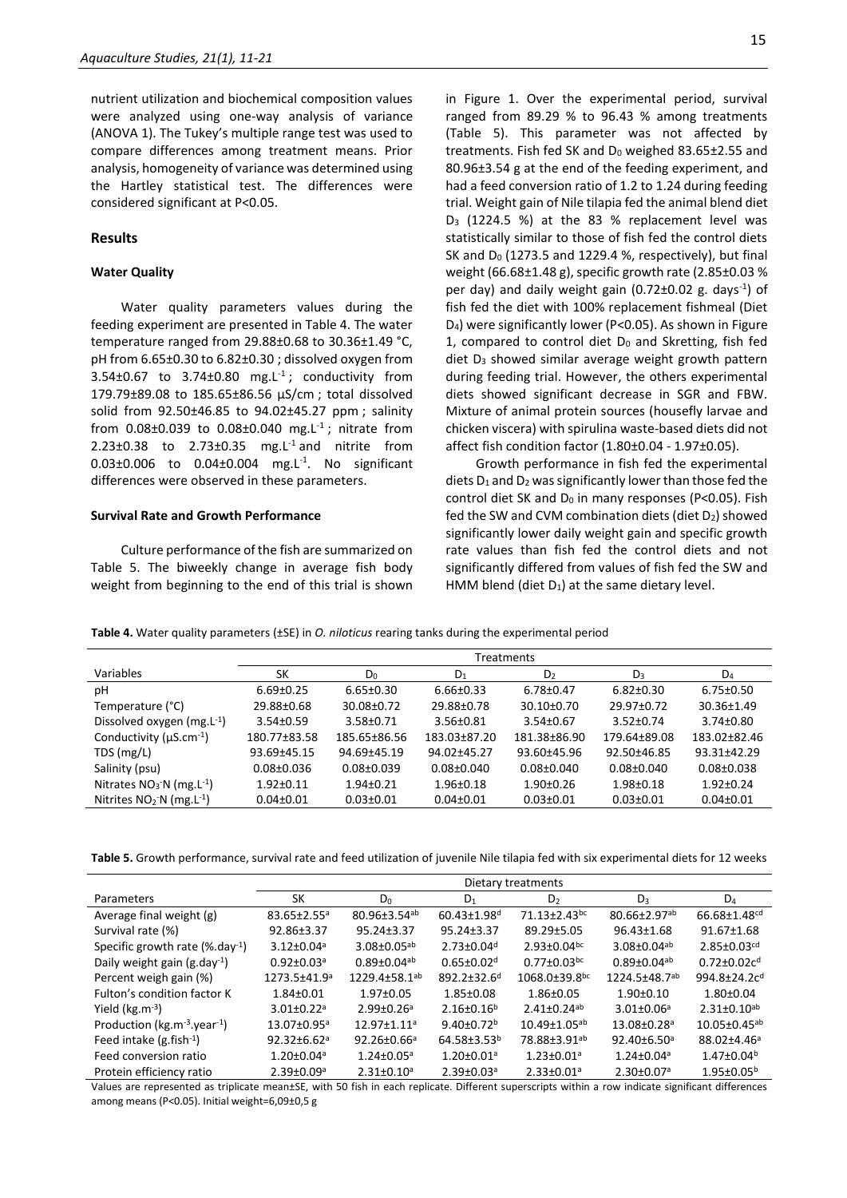nutrient utilization and biochemical composition values were analyzed using one-way analysis of variance (ANOVA 1). The Tukey's multiple range test was used to compare differences among treatment means. Prior analysis, homogeneity of variance was determined using the Hartley statistical test. The differences were considered significant at P<0.05.

#### **Results**

#### **Water Quality**

Water quality parameters values during the feeding experiment are presented in Table 4. The water temperature ranged from 29.88±0.68 to 30.36±1.49 °C, pH from 6.65±0.30 to 6.82±0.30 ; dissolved oxygen from  $3.54\pm0.67$  to  $3.74\pm0.80$  mg.L<sup>-1</sup>; conductivity from 179.79±89.08 to 185.65±86.56 µS/cm ; total dissolved solid from 92.50±46.85 to 94.02±45.27 ppm ; salinity from  $0.08 \pm 0.039$  to  $0.08 \pm 0.040$  mg. L<sup>-1</sup>; nitrate from 2.23 $\pm$ 0.38 to 2.73 $\pm$ 0.35 mg.L<sup>-1</sup> and nitrite from  $0.03 \pm 0.006$  to  $0.04 \pm 0.004$  mg. L<sup>-1</sup>. No significant differences were observed in these parameters.

#### **Survival Rate and Growth Performance**

Culture performance of the fish are summarized on Table 5. The biweekly change in average fish body weight from beginning to the end of this trial is shown in Figure 1. Over the experimental period, survival ranged from 89.29 % to 96.43 % among treatments (Table 5). This parameter was not affected by treatments. Fish fed SK and  $D_0$  weighed 83.65 $\pm$ 2.55 and 80.96±3.54 g at the end of the feeding experiment, and had a feed conversion ratio of 1.2 to 1.24 during feeding trial. Weight gain of Nile tilapia fed the animal blend diet D<sup>3</sup> (1224.5 %) at the 83 % replacement level was statistically similar to those of fish fed the control diets SK and  $D_0$  (1273.5 and 1229.4 %, respectively), but final weight (66.68±1.48 g), specific growth rate (2.85±0.03 % per day) and daily weight gain (0.72±0.02 g. days<sup>-1</sup>) of fish fed the diet with 100% replacement fishmeal (Diet D4) were significantly lower (P<0.05). As shown in Figure 1, compared to control diet  $D_0$  and Skretting, fish fed diet  $D_3$  showed similar average weight growth pattern during feeding trial. However, the others experimental diets showed significant decrease in SGR and FBW. Mixture of animal protein sources (housefly larvae and chicken viscera) with spirulina waste-based diets did not affect fish condition factor (1.80±0.04 - 1.97±0.05).

Growth performance in fish fed the experimental diets  $D_1$  and  $D_2$  was significantly lower than those fed the control diet SK and  $D_0$  in many responses (P<0.05). Fish fed the SW and CVM combination diets (diet D2) showed significantly lower daily weight gain and specific growth rate values than fish fed the control diets and not significantly differed from values of fish fed the SW and HMM blend (diet  $D_1$ ) at the same dietary level.

**Table 4.** Water quality parameters (±SE) in *O. niloticus* rearing tanks during the experimental period

| <b>Treatments</b> |                 |                  |                  |                 |                  |  |  |
|-------------------|-----------------|------------------|------------------|-----------------|------------------|--|--|
| SK                | $D_0$           | $D_1$            | D <sub>2</sub>   | $D_3$           | $D_4$            |  |  |
| $6.69 \pm 0.25$   | $6.65 \pm 0.30$ | $6.66 \pm 0.33$  | $6.78 \pm 0.47$  | $6.82 \pm 0.30$ | $6.75 \pm 0.50$  |  |  |
| 29.88±0.68        | 30.08±0.72      | 29.88±0.78       | $30.10 \pm 0.70$ | 29.97±0.72      | $30.36 \pm 1.49$ |  |  |
| $3.54 \pm 0.59$   | $3.58 + 0.71$   | $3.56 \pm 0.81$  | $3.54 \pm 0.67$  | $3.52 \pm 0.74$ | $3.74 \pm 0.80$  |  |  |
| 180.77±83.58      | 185.65±86.56    | 183.03±87.20     | 181.38±86.90     | 179.64±89.08    | 183.02±82.46     |  |  |
| 93.69±45.15       | 94.69±45.19     | 94.02±45.27      | 93.60±45.96      | 92.50±46.85     | 93.31±42.29      |  |  |
| $0.08 \pm 0.036$  | $0.08 + 0.039$  | $0.08 \pm 0.040$ | $0.08 + 0.040$   | $0.08 + 0.040$  | $0.08 + 0.038$   |  |  |
| $1.92 \pm 0.11$   | $1.94 \pm 0.21$ | $1.96 \pm 0.18$  | $1.90 + 0.26$    | $1.98 + 0.18$   | $1.92 \pm 0.24$  |  |  |
| $0.04 \pm 0.01$   | $0.03 \pm 0.01$ | $0.04 \pm 0.01$  | $0.03 \pm 0.01$  | $0.03 \pm 0.01$ | $0.04 \pm 0.01$  |  |  |
|                   |                 |                  |                  |                 |                  |  |  |

**Table 5.** Growth performance, survival rate and feed utilization of juvenile Nile tilapia fed with six experimental diets for 12 weeks

|                                                 | Dietary treatments            |                                |                               |                                |                                |                               |  |  |
|-------------------------------------------------|-------------------------------|--------------------------------|-------------------------------|--------------------------------|--------------------------------|-------------------------------|--|--|
| Parameters                                      | SK                            | $D_0$                          | $D_1$                         | D <sub>2</sub>                 | $D_3$                          | $D_4$                         |  |  |
| Average final weight (g)                        | $83.65 \pm 2.55^a$            | $80.96 \pm 3.54$ <sup>ab</sup> | $60.43 \pm 1.98$ <sup>d</sup> | $71.13 \pm 2.43$ <sup>bc</sup> | $80.66 \pm 2.97$ <sup>ab</sup> | 66.68±1.48 <sup>cd</sup>      |  |  |
| Survival rate (%)                               | 92.86±3.37                    | 95.24±3.37                     | $95.24 \pm 3.37$              | 89.29±5.05                     | 96.43±1.68                     | 91.67±1.68                    |  |  |
| Specific growth rate $(\%$ .day <sup>-1</sup> ) | $3.12 \pm 0.04$ <sup>a</sup>  | $3.08 \pm 0.05$ <sup>ab</sup>  | $2.73 \pm 0.04$ <sup>d</sup>  | $2.93 \pm 0.04$ <sub>bc</sub>  | $3.08 \pm 0.04$ <sup>ab</sup>  | $2.85 \pm 0.03$ <sup>cd</sup> |  |  |
| Daily weight gain $(g.day^{-1})$                | $0.92 \pm 0.03$ <sup>a</sup>  | $0.89 \pm 0.04$ <sup>ab</sup>  | $0.65 \pm 0.02$ <sup>d</sup>  | $0.77 \pm 0.03$ <sub>bc</sub>  | $0.89 \pm 0.04$ <sup>ab</sup>  | $0.72 \pm 0.02c^{d}$          |  |  |
| Percent weigh gain (%)                          | 1273.5±41.9ª                  | 1229.4±58.1ab                  | 892.2±32.6 <sup>d</sup>       | 1068.0±39.8bc                  | 1224.5±48.7ab                  | 994.8±24.2cd                  |  |  |
| Fulton's condition factor K                     | $1.84 \pm 0.01$               | $1.97 \pm 0.05$                | 1.85±0.08                     | $1.86 \pm 0.05$                | $1.90+0.10$                    | $1.80 \pm 0.04$               |  |  |
| Yield $(kg.m^{-3})$                             | $3.01 \pm 0.22$ <sup>a</sup>  | $2.99 \pm 0.26$ <sup>a</sup>   | $2.16 \pm 0.16^b$             | $2.41 \pm 0.24$ <sup>ab</sup>  | $3.01 \pm 0.06^a$              | $2.31 \pm 0.10^{ab}$          |  |  |
| Production ( $kg.m^{-3}$ .year <sup>-1</sup> )  | $13.07 \pm 0.95$ <sup>a</sup> | $12.97 \pm 1.11$ <sup>a</sup>  | $9.40 \pm 0.72^b$             | $10.49 \pm 1.05^{ab}$          | 13.08±0.28 <sup>a</sup>        | $10.05 \pm 0.45^{ab}$         |  |  |
| Feed intake $(g.fish-1)$                        | $92.32 \pm 6.62$ <sup>a</sup> | $92.26 \pm 0.66^{\circ}$       | 64.58±3.53 <sup>b</sup>       | 78.88±3.91ab                   | $92.40 \pm 6.50$ <sup>a</sup>  | 88.02±4.46ª                   |  |  |
| Feed conversion ratio                           | $1.20 \pm 0.04$ <sup>a</sup>  | $1.24 \pm 0.05^a$              | $1.20 \pm 0.01$ <sup>a</sup>  | $1.23 \pm 0.01$ <sup>a</sup>   | $1.24 \pm 0.04$ <sup>a</sup>   | $1.47 \pm 0.04^b$             |  |  |
| Protein efficiency ratio                        | $2.39 \pm 0.09$ <sup>a</sup>  | $2.31 \pm 0.10^a$              | $2.39 \pm 0.03$ <sup>a</sup>  | $2.33 \pm 0.01$ <sup>a</sup>   | $2.30 \pm 0.07$ <sup>a</sup>   | $1.95 \pm 0.05^b$             |  |  |

Values are represented as triplicate mean±SE, with 50 fish in each replicate. Different superscripts within a row indicate significant differences among means (P<0.05). Initial weight=6,09±0,5 g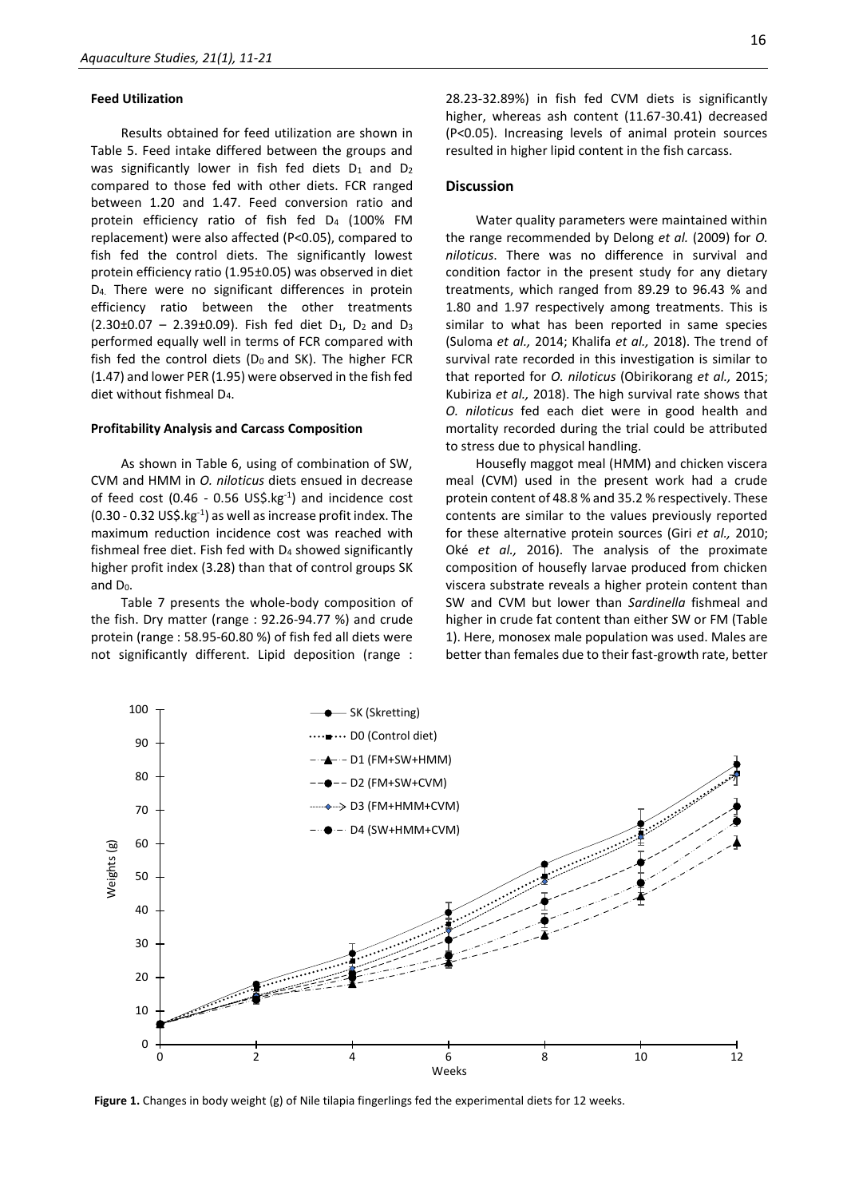#### **Feed Utilization**

Results obtained for feed utilization are shown in Table 5. Feed intake differed between the groups and was significantly lower in fish fed diets  $D_1$  and  $D_2$ compared to those fed with other diets. FCR ranged between 1.20 and 1.47. Feed conversion ratio and protein efficiency ratio of fish fed D<sup>4</sup> (100% FM replacement) were also affected (P<0.05), compared to fish fed the control diets. The significantly lowest protein efficiency ratio (1.95±0.05) was observed in diet D4. There were no significant differences in protein efficiency ratio between the other treatments  $(2.30\pm0.07 - 2.39\pm0.09)$ . Fish fed diet D<sub>1</sub>, D<sub>2</sub> and D<sub>3</sub> performed equally well in terms of FCR compared with fish fed the control diets ( $D_0$  and SK). The higher FCR (1.47) and lower PER (1.95) were observed in the fish fed diet without fishmeal D4.

#### **Profitability Analysis and Carcass Composition**

As shown in Table 6, using of combination of SW, CVM and HMM in *O. niloticus* diets ensued in decrease of feed cost (0.46 - 0.56  $US\$ , kg $^{-1}$ ) and incidence cost  $(0.30 - 0.32 \text{ US}5 \text{ kg}^{-1})$  as well as increase profit index. The maximum reduction incidence cost was reached with fishmeal free diet. Fish fed with D<sup>4</sup> showed significantly higher profit index (3.28) than that of control groups SK and D0.

Table 7 presents the whole-body composition of the fish. Dry matter (range : 92.26-94.77 %) and crude protein (range : 58.95-60.80 %) of fish fed all diets were not significantly different. Lipid deposition (range :

28.23-32.89%) in fish fed CVM diets is significantly higher, whereas ash content (11.67-30.41) decreased (P<0.05). Increasing levels of animal protein sources resulted in higher lipid content in the fish carcass.

#### **Discussion**

Water quality parameters were maintained within the range recommended by Delong *et al.* (2009) for *O. niloticus*. There was no difference in survival and condition factor in the present study for any dietary treatments, which ranged from 89.29 to 96.43 % and 1.80 and 1.97 respectively among treatments. This is similar to what has been reported in same species (Suloma *et al.,* 2014; Khalifa *et al.,* 2018). The trend of survival rate recorded in this investigation is similar to that reported for *O. niloticus* (Obirikorang *et al.,* 2015; Kubiriza *et al.,* 2018). The high survival rate shows that *O. niloticus* fed each diet were in good health and mortality recorded during the trial could be attributed to stress due to physical handling.

Housefly maggot meal (HMM) and chicken viscera meal (CVM) used in the present work had a crude protein content of 48.8 % and 35.2 % respectively. These contents are similar to the values previously reported for these alternative protein sources (Giri *et al.,* 2010; Oké *et al.,* 2016). The analysis of the proximate composition of housefly larvae produced from chicken viscera substrate reveals a higher protein content than SW and CVM but lower than *Sardinella* fishmeal and higher in crude fat content than either SW or FM (Table 1). Here, monosex male population was used. Males are better than females due to their fast-growth rate, better



**Figure 1.** Changes in body weight (g) of Nile tilapia fingerlings fed the experimental diets for 12 weeks.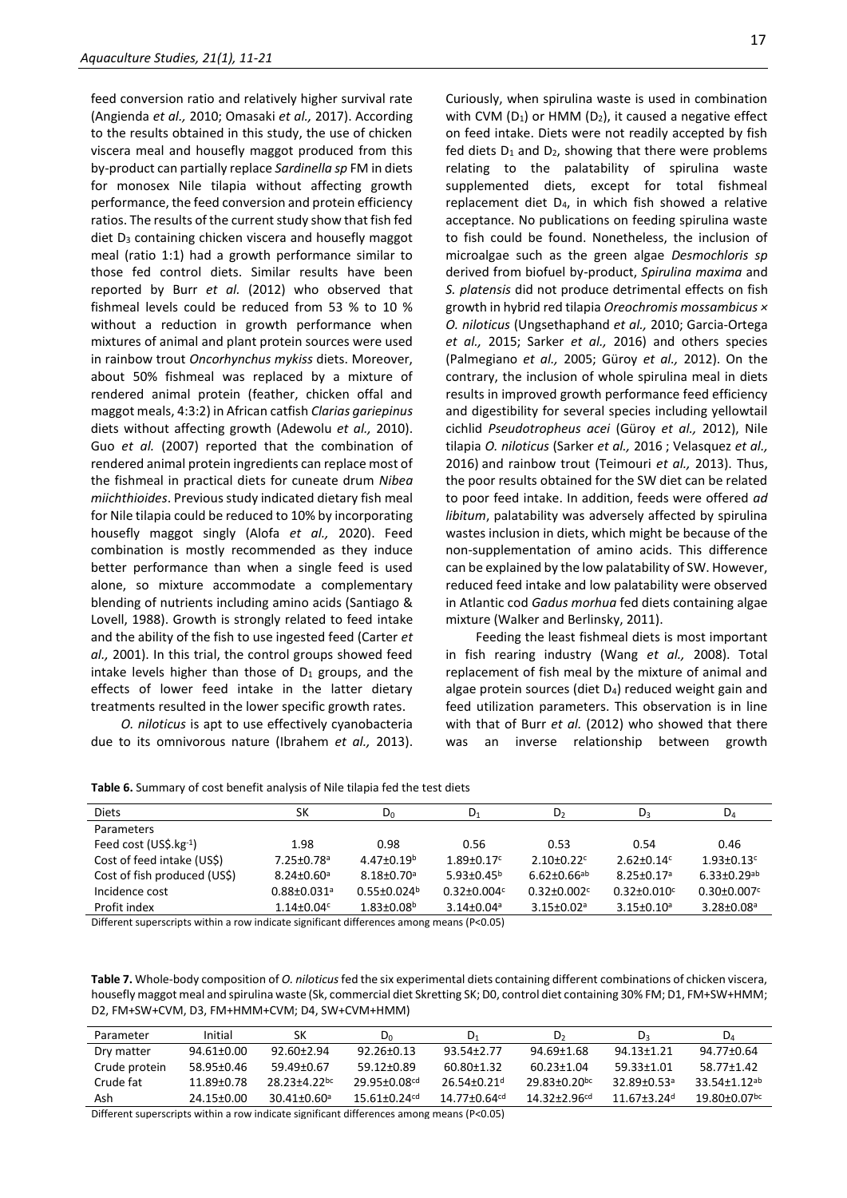feed conversion ratio and relatively higher survival rate (Angienda *et al.,* 2010; Omasaki *et al.,* 2017). According to the results obtained in this study, the use of chicken viscera meal and housefly maggot produced from this by-product can partially replace *Sardinella sp* FM in diets for monosex Nile tilapia without affecting growth performance, the feed conversion and protein efficiency ratios. The results of the current study show that fish fed diet  $D_3$  containing chicken viscera and housefly maggot meal (ratio 1:1) had a growth performance similar to those fed control diets. Similar results have been reported by Burr *et al.* (2012) who observed that fishmeal levels could be reduced from 53 % to 10 % without a reduction in growth performance when mixtures of animal and plant protein sources were used in rainbow trout *Oncorhynchus mykiss* diets. Moreover, about 50% fishmeal was replaced by a mixture of rendered animal protein (feather, chicken offal and maggot meals, 4:3:2) in African catfish *Clarias gariepinus* diets without affecting growth (Adewolu *et al.,* 2010). Guo *et al.* (2007) reported that the combination of rendered animal protein ingredients can replace most of the fishmeal in practical diets for cuneate drum *Nibea miichthioides*. Previous study indicated dietary fish meal for Nile tilapia could be reduced to 10% by incorporating housefly maggot singly (Alofa *et al.,* 2020). Feed combination is mostly recommended as they induce better performance than when a single feed is used alone, so mixture accommodate a complementary blending of nutrients including amino acids (Santiago & Lovell, 1988). Growth is strongly related to feed intake and the ability of the fish to use ingested feed (Carter *et al.,* 2001). In this trial, the control groups showed feed intake levels higher than those of  $D_1$  groups, and the effects of lower feed intake in the latter dietary treatments resulted in the lower specific growth rates.

*O. niloticus* is apt to use effectively cyanobacteria due to its omnivorous nature (Ibrahem *et al.,* 2013). Curiously, when spirulina waste is used in combination with CVM ( $D_1$ ) or HMM ( $D_2$ ), it caused a negative effect on feed intake. Diets were not readily accepted by fish fed diets  $D_1$  and  $D_2$ , showing that there were problems relating to the palatability of spirulina waste supplemented diets, except for total fishmeal replacement diet D4, in which fish showed a relative acceptance. No publications on feeding spirulina waste to fish could be found. Nonetheless, the inclusion of microalgae such as the green algae *Desmochloris sp* derived from biofuel by-product, *Spirulina maxima* and *S. platensis* did not produce detrimental effects on fish growth in hybrid red tilapia *Oreochromis mossambicus × O. niloticus* (Ungsethaphand *et al.,* 2010; Garcia-Ortega *et al.,* 2015; Sarker *et al.,* 2016) and others species (Palmegiano *et al.,* 2005; Güroy *et al.,* 2012). On the contrary, the inclusion of whole spirulina meal in diets results in improved growth performance feed efficiency and digestibility for several species including yellowtail cichlid *Pseudotropheus acei* (Güroy *et al.,* 2012), Nile tilapia *O. niloticus* (Sarker *et al.,* 2016 ; Velasquez *et al.,* 2016) and rainbow trout (Teimouri *et al.,* 2013). Thus, the poor results obtained for the SW diet can be related to poor feed intake. In addition, feeds were offered *ad libitum*, palatability was adversely affected by spirulina wastes inclusion in diets, which might be because of the non-supplementation of amino acids. This difference can be explained by the low palatability of SW. However, reduced feed intake and low palatability were observed in Atlantic cod *Gadus morhua* fed diets containing algae mixture (Walker and Berlinsky, 2011).

Feeding the least fishmeal diets is most important in fish rearing industry (Wang *et al.,* 2008). Total replacement of fish meal by the mixture of animal and algae protein sources (diet D4) reduced weight gain and feed utilization parameters. This observation is in line with that of Burr *et al.* (2012) who showed that there was an inverse relationship between growth

**Table 6.** Summary of cost benefit analysis of Nile tilapia fed the test diets

| <b>Diets</b>                    | SК                            | $D_0$                         | $D_1$                        | D,                            | D3                            | $D_4$                        |
|---------------------------------|-------------------------------|-------------------------------|------------------------------|-------------------------------|-------------------------------|------------------------------|
| <b>Parameters</b>               |                               |                               |                              |                               |                               |                              |
| Feed cost $(US\hat{S}.kg^{-1})$ | 1.98                          | 0.98                          | 0.56                         | 0.53                          | 0.54                          | 0.46                         |
| Cost of feed intake (US\$)      | 7.25±0.78 <sup>a</sup>        | $4.47 \pm 0.19^b$             | $1.89 \pm 0.17$ <sup>c</sup> | $2.10\pm0.22$ <sup>c</sup>    | $2.62 \pm 0.14$ <sup>c</sup>  | $1.93 \pm 0.13$ <sup>c</sup> |
| Cost of fish produced (US\$)    | $8.24 \pm 0.60$ <sup>a</sup>  | $8.18 \pm 0.70$ <sup>a</sup>  | $5.93 \pm 0.45^b$            | $6.62 \pm 0.66$ <sup>ab</sup> | $8.25 \pm 0.17$ <sup>a</sup>  | $6.33 + 0.29$ <sup>ab</sup>  |
| Incidence cost                  | $0.88 \pm 0.031$ <sup>a</sup> | $0.55 \pm 0.024$ <sup>b</sup> | $0.32 \pm 0.004$ c           | $0.32 \pm 0.002$ c            | $0.32 \pm 0.010$ <sup>c</sup> | $0.30 \pm 0.007$ c           |
| Profit index                    | $1.14 \pm 0.04$ <sup>c</sup>  | $1.83 \pm 0.08^b$             | $3.14 \pm 0.04$ <sup>a</sup> | $3.15 \pm 0.02$ <sup>a</sup>  | $3.15 \pm 0.10^a$             | $3.28 \pm 0.08$ <sup>a</sup> |
| .                               |                               |                               |                              |                               |                               |                              |

Different superscripts within a row indicate significant differences among means (P<0.05)

**Table 7.** Whole-body composition of *O. niloticus*fed the six experimental diets containing different combinations of chicken viscera, housefly maggot meal and spirulina waste (Sk, commercial diet Skretting SK; D0, control diet containing 30% FM; D1, FM+SW+HMM; D2, FM+SW+CVM, D3, FM+HMM+CVM; D4, SW+CVM+HMM)

| Parameter     | Initial    | SK              | D <sub>0</sub>           | D <sub>1</sub>               | D٦                       | D٩                          | D۵                  |
|---------------|------------|-----------------|--------------------------|------------------------------|--------------------------|-----------------------------|---------------------|
| Dry matter    | 94.61±0.00 | $92.60 + 2.94$  | $92.26 + 0.13$           | 93.54+2.77                   | 94.69+1.68               | 94.13+1.21                  | 94.77±0.64          |
| Crude protein | 58.95+0.46 | 59.49+0.67      | 59.12+0.89               | 60.80+1.32                   | $60.23 + 1.04$           | 59.33+1.01                  | 58.77+1.42          |
| Crude fat     | 11.89+0.78 | $28.23 + 4.22$  | 29.95+0.08 <sup>cd</sup> | $26.54 + 0.21$ <sup>d</sup>  | 29.83+0.20 <sup>bc</sup> | $32.89 + 0.53a$             | $33.54 + 1.12^{ab}$ |
| Ash           | 24.15+0.00 | $30.41 + 0.60a$ | 15.61+0.24 <sup>cd</sup> | $14.77 + 0.64$ <sup>cd</sup> | $14.32 + 2.96$ cd        | $11.67 + 3.24$ <sup>d</sup> | 19.80+0.07bc        |

Different superscripts within a row indicate significant differences among means (P<0.05)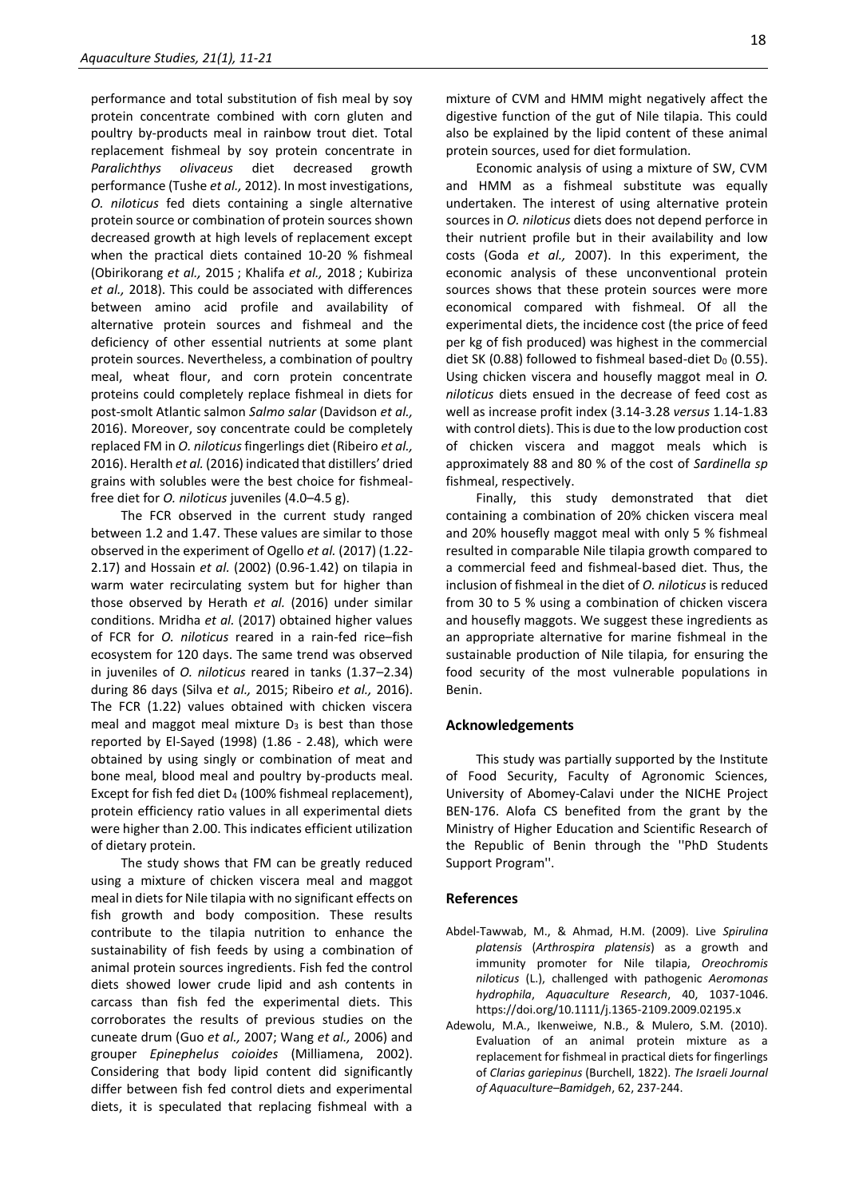performance and total substitution of fish meal by soy protein concentrate combined with corn gluten and poultry by-products meal in rainbow trout diet. Total replacement fishmeal by soy protein concentrate in *Paralichthys olivaceus* diet decreased growth performance (Tushe *et al.,* 2012). In most investigations, *O. niloticus* fed diets containing a single alternative protein source or combination of protein sources shown decreased growth at high levels of replacement except when the practical diets contained 10-20 % fishmeal (Obirikorang *et al.,* 2015 ; Khalifa *et al.,* 2018 ; Kubiriza *et al.,* 2018). This could be associated with differences between amino acid profile and availability of alternative protein sources and fishmeal and the deficiency of other essential nutrients at some plant protein sources. Nevertheless, a combination of poultry meal, wheat flour, and corn protein concentrate proteins could completely replace fishmeal in diets for post-smolt Atlantic salmon *Salmo salar* (Davidson *et al.,* 2016). Moreover, soy concentrate could be completely replaced FM in *O. niloticus*fingerlings diet (Ribeiro *et al.,* 2016). Heralth *et al.* (2016) indicated that distillers' dried grains with solubles were the best choice for fishmealfree diet for *O. niloticus* juveniles (4.0–4.5 g).

The FCR observed in the current study ranged between 1.2 and 1.47. These values are similar to those observed in the experiment of Ogello *et al.* (2017) (1.22- 2.17) and Hossain *et al.* (2002) (0.96-1.42) on tilapia in warm water recirculating system but for higher than those observed by Herath *et al.* (2016) under similar conditions. Mridha *et al.* (2017) obtained higher values of FCR for *O. niloticus* reared in a rain-fed rice–fish ecosystem for 120 days. The same trend was observed in juveniles of *O. niloticus* reared in tanks (1.37–2.34) during 86 days (Silva e*t al.,* 2015; Ribeiro *et al.,* 2016). The FCR (1.22) values obtained with chicken viscera meal and maggot meal mixture  $D_3$  is best than those reported by El-Sayed (1998) (1.86 - 2.48), which were obtained by using singly or combination of meat and bone meal, blood meal and poultry by-products meal. Except for fish fed diet D<sup>4</sup> (100% fishmeal replacement), protein efficiency ratio values in all experimental diets were higher than 2.00. This indicates efficient utilization of dietary protein.

The study shows that FM can be greatly reduced using a mixture of chicken viscera meal and maggot meal in diets for Nile tilapia with no significant effects on fish growth and body composition. These results contribute to the tilapia nutrition to enhance the sustainability of fish feeds by using a combination of animal protein sources ingredients. Fish fed the control diets showed lower crude lipid and ash contents in carcass than fish fed the experimental diets. This corroborates the results of previous studies on the cuneate drum (Guo *et al.,* 2007; Wang *et al.,* 2006) and grouper *Epinephelus coioides* (Milliamena, 2002). Considering that body lipid content did significantly differ between fish fed control diets and experimental diets, it is speculated that replacing fishmeal with a

mixture of CVM and HMM might negatively affect the digestive function of the gut of Nile tilapia. This could also be explained by the lipid content of these animal protein sources, used for diet formulation.

Economic analysis of using a mixture of SW, CVM and HMM as a fishmeal substitute was equally undertaken. The interest of using alternative protein sources in *O. niloticus* diets does not depend perforce in their nutrient profile but in their availability and low costs (Goda *et al.,* 2007). In this experiment, the economic analysis of these unconventional protein sources shows that these protein sources were more economical compared with fishmeal. Of all the experimental diets, the incidence cost (the price of feed per kg of fish produced) was highest in the commercial diet SK (0.88) followed to fishmeal based-diet  $D_0$  (0.55). Using chicken viscera and housefly maggot meal in *O. niloticus* diets ensued in the decrease of feed cost as well as increase profit index (3.14-3.28 *versus* 1.14-1.83 with control diets). This is due to the low production cost of chicken viscera and maggot meals which is approximately 88 and 80 % of the cost of *Sardinella sp* fishmeal, respectively.

Finally, this study demonstrated that diet containing a combination of 20% chicken viscera meal and 20% housefly maggot meal with only 5 % fishmeal resulted in comparable Nile tilapia growth compared to a commercial feed and fishmeal-based diet. Thus, the inclusion of fishmeal in the diet of *O. niloticus* is reduced from 30 to 5 % using a combination of chicken viscera and housefly maggots. We suggest these ingredients as an appropriate alternative for marine fishmeal in the sustainable production of Nile tilapia*,* for ensuring the food security of the most vulnerable populations in Benin.

#### **Acknowledgements**

This study was partially supported by the Institute of Food Security, Faculty of Agronomic Sciences, University of Abomey-Calavi under the NICHE Project BEN-176. Alofa CS benefited from the grant by the Ministry of Higher Education and Scientific Research of the Republic of Benin through the ''PhD Students Support Program''.

#### **References**

- Abdel-Tawwab, M., & Ahmad, H.M. (2009). Live *Spirulina platensis* (*Arthrospira platensis*) as a growth and immunity promoter for Nile tilapia, *Oreochromis niloticus* (L.), challenged with pathogenic *Aeromonas hydrophila*, *Aquaculture Research*, 40, 1037-1046. https://doi.org/10.1111/j.1365-2109.2009.02195.x
- Adewolu, M.A., Ikenweiwe, N.B., & Mulero, S.M. (2010). Evaluation of an animal protein mixture as a replacement for fishmeal in practical diets for fingerlings of *Clarias gariepinus* (Burchell, 1822). *The Israeli Journal of Aquaculture–Bamidgeh*, 62, 237-244.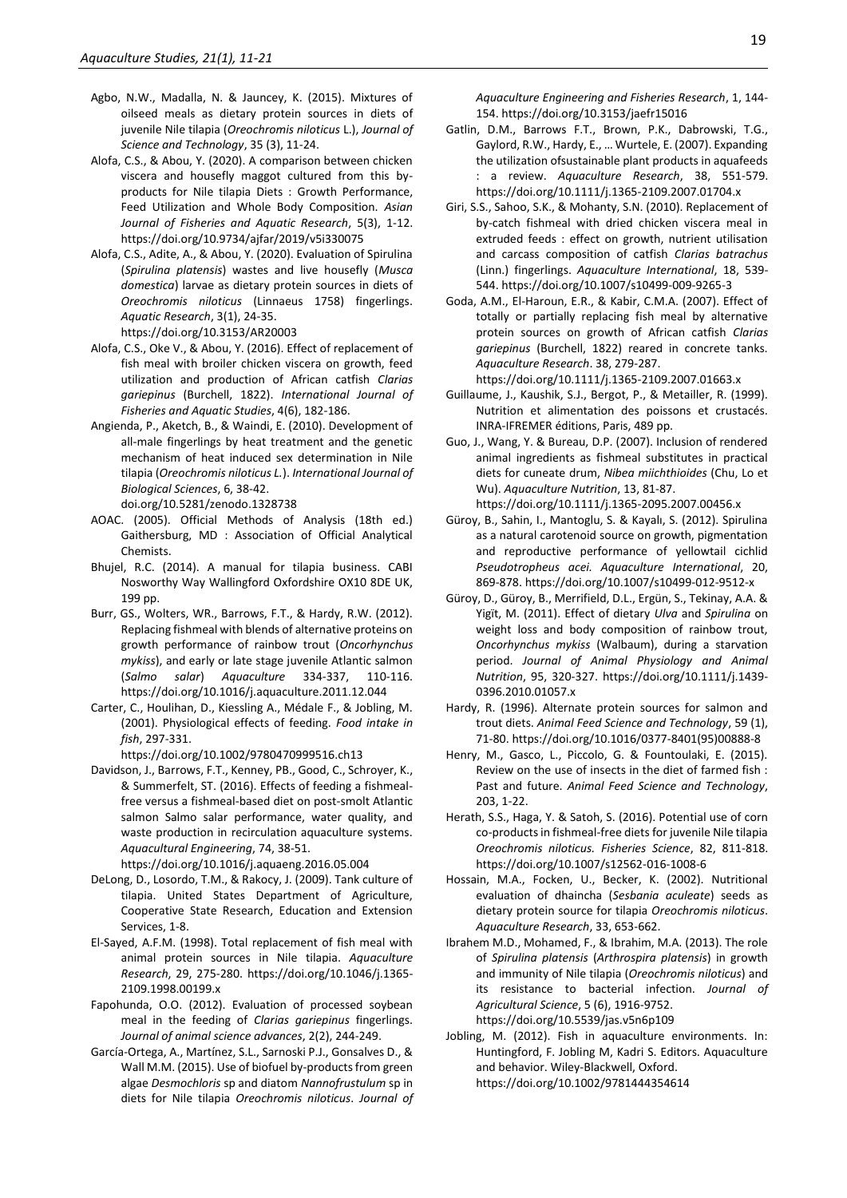- Agbo, N.W., Madalla, N. & Jauncey, K. (2015). Mixtures of oilseed meals as dietary protein sources in diets of juvenile Nile tilapia (*Oreochromis niloticus* L.), *Journal of Science and Technology*, 35 (3), 11-24.
- Alofa, C.S., & Abou, Y. (2020). A comparison between chicken viscera and housefly maggot cultured from this byproducts for Nile tilapia Diets : Growth Performance, Feed Utilization and Whole Body Composition. *Asian Journal of Fisheries and Aquatic Research*, 5(3), 1-12. https://doi.org/10.9734/ajfar/2019/v5i330075
- Alofa, C.S., Adite, A., & Abou, Y. (2020). Evaluation of Spirulina (*Spirulina platensis*) wastes and live housefly (*Musca domestica*) larvae as dietary protein sources in diets of *Oreochromis niloticus* (Linnaeus 1758) fingerlings. *Aquatic Research*, 3(1), 24-35. https://doi.org/10.3153/AR20003
- Alofa, C.S., Oke V., & Abou, Y. (2016). Effect of replacement of fish meal with broiler chicken viscera on growth, feed utilization and production of African catfish *Clarias gariepinus* (Burchell, 1822). *International Journal of Fisheries and Aquatic Studies*, 4(6), 182-186.
- Angienda, P., Aketch, B., & Waindi, E. (2010). Development of all-male fingerlings by heat treatment and the genetic mechanism of heat induced sex determination in Nile tilapia (*Oreochromis niloticus L.*). *International Journal of Biological Sciences*, 6, 38-42.
- doi.org/10.5281/zenodo.1328738
- AOAC. (2005). Official Methods of Analysis (18th ed.) Gaithersburg, MD : Association of Official Analytical Chemists.
- Bhujel, R.C. (2014). A manual for tilapia business. CABI Nosworthy Way Wallingford Oxfordshire OX10 8DE UK, 199 pp.
- Burr, GS., Wolters, WR., Barrows, F.T., & Hardy, R.W. (2012). Replacing fishmeal with blends of alternative proteins on growth performance of rainbow trout (*Oncorhynchus mykiss*), and early or late stage juvenile Atlantic salmon (*Salmo salar*) *Aquaculture* 334-337, 110-116. https://doi.org/10.1016/j.aquaculture.2011.12.044
- Carter, C., Houlihan, D., Kiessling A., Médale F., & Jobling, M. (2001). Physiological effects of feeding. *Food intake in fish*, 297-331.

https://doi.org/10.1002/9780470999516.ch13

Davidson, J., Barrows, F.T., Kenney, PB., Good, C., Schroyer, K., & Summerfelt, ST. (2016). Effects of feeding a fishmealfree versus a fishmeal-based diet on post-smolt Atlantic salmon Salmo salar performance, water quality, and waste production in recirculation aquaculture systems. *Aquacultural Engineering*, 74, 38-51.

https://doi.org/10.1016/j.aquaeng.2016.05.004

- DeLong, D., Losordo, T.M., & Rakocy, J. (2009). Tank culture of tilapia. United States Department of Agriculture, Cooperative State Research, Education and Extension Services, 1-8.
- El-Sayed, A.F.M. (1998). Total replacement of fish meal with animal protein sources in Nile tilapia. *Aquaculture Research*, 29, 275-280. https://doi.org/10.1046/j.1365- 2109.1998.00199.x
- Fapohunda, O.O. (2012). Evaluation of processed soybean meal in the feeding of *Clarias gariepinus* fingerlings. *Journal of animal science advances*, 2(2), 244-249.
- García-Ortega, A., Martínez, S.L., Sarnoski P.J., Gonsalves D., & Wall M.M. (2015). Use of biofuel by-products from green algae *Desmochloris* sp and diatom *Nannofrustulum* sp in diets for Nile tilapia *Oreochromis niloticus*. *Journal of*

*Aquaculture Engineering and Fisheries Research*, 1, 144- 154. https://doi.org/10.3153/jaefr15016

- Gatlin, D.M., Barrows F.T., Brown, P.K., Dabrowski, T.G., Gaylord, R.W., Hardy, E., … Wurtele, E. (2007). Expanding the utilization ofsustainable plant products in aquafeeds : a review. *Aquaculture Research*, 38, 551-579. https://doi.org/10.1111/j.1365-2109.2007.01704.x
- Giri, S.S., Sahoo, S.K., & Mohanty, S.N. (2010). Replacement of by-catch fishmeal with dried chicken viscera meal in extruded feeds : effect on growth, nutrient utilisation and carcass composition of catfish *Clarias batrachus* (Linn.) fingerlings. *Aquaculture International*, 18, 539- 544. https://doi.org/10.1007/s10499-009-9265-3
- Goda, A.M., El-Haroun, E.R., & Kabir, C.M.A. (2007). Effect of totally or partially replacing fish meal by alternative protein sources on growth of African catfish *Clarias gariepinus* (Burchell, 1822) reared in concrete tanks. *Aquaculture Research*. 38, 279-287.

https://doi.org/10.1111/j.1365-2109.2007.01663.x

- Guillaume, J., Kaushik, S.J., Bergot, P., & Metailler, R. (1999). Nutrition et alimentation des poissons et crustacés. INRA-IFREMER éditions, Paris, 489 pp.
- Guo, J., Wang, Y. & Bureau, D.P. (2007). Inclusion of rendered animal ingredients as fishmeal substitutes in practical diets for cuneate drum, *Nibea miichthioides* (Chu, Lo et Wu). *Aquaculture Nutrition*, 13, 81-87. https://doi.org/10.1111/j.1365-2095.2007.00456.x
- Güroy, B., Sahin, I., Mantoglu, S. & Kayalı, S. (2012). Spirulina as a natural carotenoid source on growth, pigmentation and reproductive performance of yellowtail cichlid *Pseudotropheus acei. Aquaculture International*, 20, 869-878. https://doi.org/10.1007/s10499-012-9512-x
- Güroy, D., Güroy, B., Merrifield, D.L., Ergün, S., Tekinay, A.A. & Yigït, M. (2011). Effect of dietary *Ulva* and *Spirulina* on weight loss and body composition of rainbow trout, *Oncorhynchus mykiss* (Walbaum), during a starvation period. *Journal of Animal Physiology and Animal Nutrition*, 95, 320-327. https://doi.org/10.1111/j.1439- 0396.2010.01057.x
- Hardy, R. (1996). Alternate protein sources for salmon and trout diets. *Animal Feed Science and Technology*, 59 (1), 71-80. https://doi.org/10.1016/0377-8401(95)00888-8
- Henry, M., Gasco, L., Piccolo, G. & Fountoulaki, E. (2015). Review on the use of insects in the diet of farmed fish : Past and future. *Animal Feed Science and Technology*, 203, 1-22.
- Herath, S.S., Haga, Y. & Satoh, S. (2016). Potential use of corn co-products in fishmeal-free diets for juvenile Nile tilapia *Oreochromis niloticus. Fisheries Science*, 82, 811-818. https://doi.org/10.1007/s12562-016-1008-6
- Hossain, M.A., Focken, U., Becker, K. (2002). Nutritional evaluation of dhaincha (*Sesbania aculeate*) seeds as dietary protein source for tilapia *Oreochromis niloticus*. *Aquaculture Research*, 33, 653-662.
- Ibrahem M.D., Mohamed, F., & Ibrahim, M.A. (2013). The role of *Spirulina platensis* (*Arthrospira platensis*) in growth and immunity of Nile tilapia (*Oreochromis niloticus*) and its resistance to bacterial infection. *Journal of Agricultural Science*, 5 (6), 1916-9752. https://doi.org/10.5539/jas.v5n6p109
- Jobling, M. (2012). Fish in aquaculture environments. In: Huntingford, F. Jobling M, Kadri S. Editors. Aquaculture and behavior. Wiley-Blackwell, Oxford. https://doi.org/10.1002/9781444354614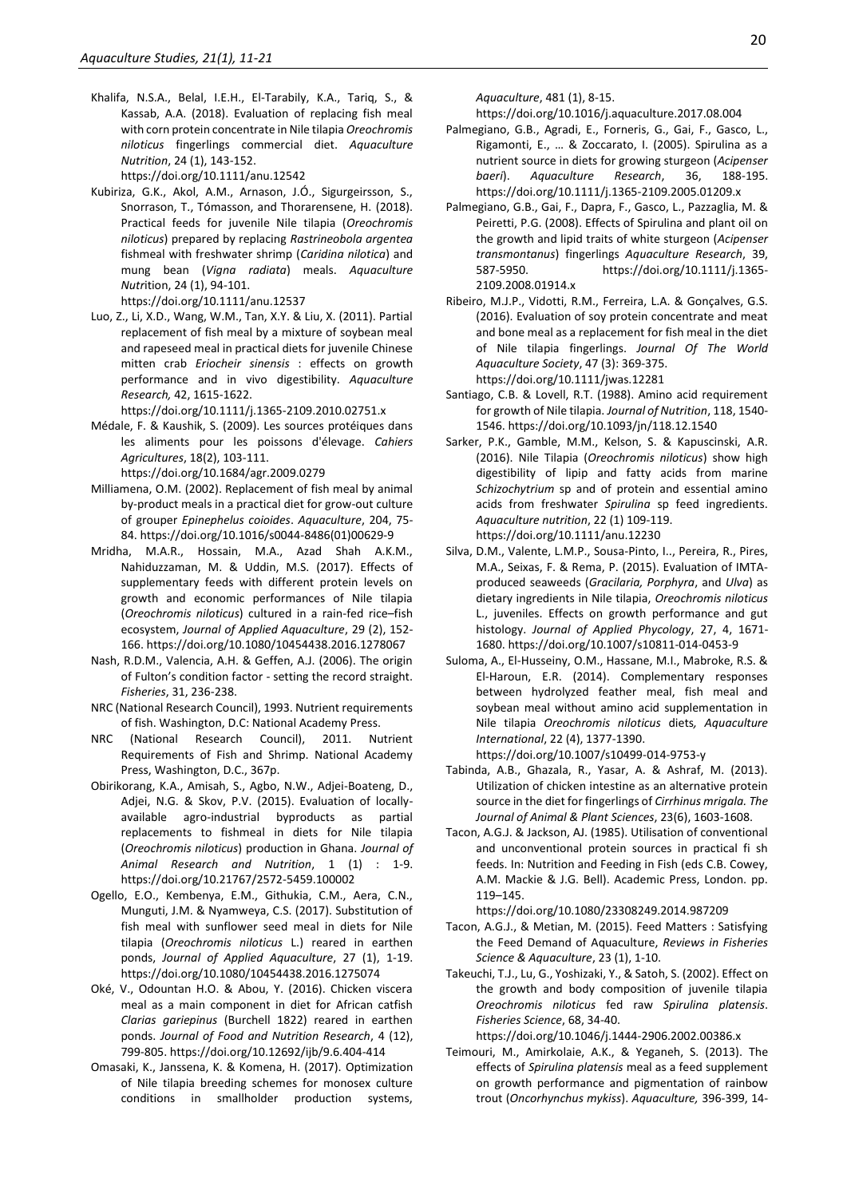Khalifa, N.S.A., Belal, I.E.H., El-Tarabily, K.A., Tariq, S., & Kassab, A.A. (2018). Evaluation of replacing fish meal with corn protein concentrate in Nile tilapia *Oreochromis niloticus* fingerlings commercial diet. *Aquaculture Nutrition*, 24 (1), 143-152.

https://doi.org/10.1111/anu.12542

Kubiriza, G.K., Akol, A.M., Arnason, J.Ó., Sigurgeirsson, S., Snorrason, T., Tómasson, and Thorarensene, H. (2018). Practical feeds for juvenile Nile tilapia (*Oreochromis niloticus*) prepared by replacing *Rastrineobola argentea*  fishmeal with freshwater shrimp (*Caridina nilotica*) and mung bean (*Vigna radiata*) meals. *Aquaculture Nutr*ition, 24 (1), 94-101.

https://doi.org/10.1111/anu.12537

Luo, Z., Li, X.D., Wang, W.M., Tan, X.Y. & Liu, X. (2011). Partial replacement of fish meal by a mixture of soybean meal and rapeseed meal in practical diets for juvenile Chinese mitten crab *Eriocheir sinensis* : effects on growth performance and in vivo digestibility. *Aquaculture Research,* 42, 1615-1622.

https://doi.org/10.1111/j.1365-2109.2010.02751.x

- Médale, F. & Kaushik, S. (2009). Les sources protéiques dans les aliments pour les poissons d'élevage. *Cahiers Agricultures*, 18(2), 103-111. https://doi.org/10.1684/agr.2009.0279
- Milliamena, O.M. (2002). Replacement of fish meal by animal by-product meals in a practical diet for grow-out culture of grouper *Epinephelus coioides*. *Aquaculture*, 204, 75- 84. https://doi.org/10.1016/s0044-8486(01)00629-9
- Mridha, M.A.R., Hossain, M.A., Azad Shah A.K.M., Nahiduzzaman, M. & Uddin, M.S. (2017). Effects of supplementary feeds with different protein levels on growth and economic performances of Nile tilapia (*Oreochromis niloticus*) cultured in a rain-fed rice–fish ecosystem, *Journal of Applied Aquaculture*, 29 (2), 152- 166. https://doi.org/10.1080/10454438.2016.1278067
- Nash, R.D.M., Valencia, A.H. & Geffen, A.J. (2006). The origin of Fulton's condition factor - setting the record straight. *Fisheries*, 31, 236-238.
- NRC (National Research Council), 1993. Nutrient requirements of fish. Washington, D.C: National Academy Press.
- NRC (National Research Council), 2011. Nutrient Requirements of Fish and Shrimp. National Academy Press, Washington, D.C., 367p.
- Obirikorang, K.A., Amisah, S., Agbo, N.W., Adjei-Boateng, D., Adjei, N.G. & Skov, P.V. (2015). Evaluation of locallyavailable agro-industrial byproducts as partial replacements to fishmeal in diets for Nile tilapia (*Oreochromis niloticus*) production in Ghana. *Journal of Animal Research and Nutrition*, 1 (1) : 1-9. https://doi.org/10.21767/2572-5459.100002
- Ogello, E.O., Kembenya, E.M., Githukia, C.M., Aera, C.N., Munguti, J.M. & Nyamweya, C.S. (2017). Substitution of fish meal with sunflower seed meal in diets for Nile tilapia (*Oreochromis niloticus* L.) reared in earthen ponds, *Journal of Applied Aquaculture*, 27 (1), 1-19. https://doi.org/10.1080/10454438.2016.1275074
- Oké, V., Odountan H.O. & Abou, Y. (2016). Chicken viscera meal as a main component in diet for African catfish *Clarias gariepinus* (Burchell 1822) reared in earthen ponds. *Journal of Food and Nutrition Research*, 4 (12), 799-805. https://doi.org/10.12692/ijb/9.6.404-414
- Omasaki, K., Janssena, K. & Komena, H. (2017). Optimization of Nile tilapia breeding schemes for monosex culture conditions in smallholder production systems,

*Aquaculture*, 481 (1), 8-15.

https://doi.org/10.1016/j.aquaculture.2017.08.004

- Palmegiano, G.B., Agradi, E., Forneris, G., Gai, F., Gasco, L., Rigamonti, E., … & Zoccarato, I. (2005). Spirulina as a nutrient source in diets for growing sturgeon (*Acipenser baeri*). *Aquaculture Research*, 36, 188-195. https://doi.org/10.1111/j.1365-2109.2005.01209.x
- Palmegiano, G.B., Gai, F., Dapra, F., Gasco, L., Pazzaglia, M. & Peiretti, P.G. (2008). Effects of Spirulina and plant oil on the growth and lipid traits of white sturgeon (*Acipenser transmontanus*) fingerlings *Aquaculture Research*, 39, 587-5950. https://doi.org/10.1111/j.1365- 2109.2008.01914.x
- Ribeiro, M.J.P., Vidotti, R.M., Ferreira, L.A. & Gonçalves, G.S. (2016). Evaluation of soy protein concentrate and meat and bone meal as a replacement for fish meal in the diet of Nile tilapia fingerlings. *Journal Of The World Aquaculture Society*, 47 (3): 369-375. https://doi.org/10.1111/jwas.12281
- Santiago, C.B. & Lovell, R.T. (1988). Amino acid requirement for growth of Nile tilapia. *Journal of Nutrition*, 118, 1540- 1546. https://doi.org/10.1093/jn/118.12.1540
- Sarker, P.K., Gamble, M.M., Kelson, S. & Kapuscinski, A.R. (2016). Nile Tilapia (*Oreochromis niloticus*) show high digestibility of lipip and fatty acids from marine *Schizochytrium* sp and of protein and essential amino acids from freshwater *Spirulina* sp feed ingredients. *Aquaculture nutrition*, 22 (1) 109-119. https://doi.org/10.1111/anu.12230
- Silva, D.M., Valente, L.M.P., Sousa-Pinto, I.., Pereira, R., Pires, M.A., Seixas, F. & Rema, P. (2015). Evaluation of IMTAproduced seaweeds (*Gracilaria, Porphyra*, and *Ulva*) as dietary ingredients in Nile tilapia, *Oreochromis niloticus*  L., juveniles. Effects on growth performance and gut histology. *Journal of Applied Phycology*, 27, 4, 1671- 1680. https://doi.org/10.1007/s10811-014-0453-9
- Suloma, A., El-Husseiny, O.M., Hassane, M.I., Mabroke, R.S. & El-Haroun, E.R. (2014). Complementary responses between hydrolyzed feather meal, fish meal and soybean meal without amino acid supplementation in Nile tilapia *Oreochromis niloticus* diets*, Aquaculture International*, 22 (4), 1377-1390. https://doi.org/10.1007/s10499-014-9753-y
- Tabinda, A.B., Ghazala, R., Yasar, A. & Ashraf, M. (2013). Utilization of chicken intestine as an alternative protein source in the diet for fingerlings of *Cirrhinus mrigala. The Journal of Animal & Plant Sciences*, 23(6), 1603-1608.
- Tacon, A.G.J. & Jackson, AJ. (1985). Utilisation of conventional and unconventional protein sources in practical fi sh feeds. In: Nutrition and Feeding in Fish (eds C.B. Cowey, A.M. Mackie & J.G. Bell). Academic Press, London. pp. 119–145.

https://doi.org/10.1080/23308249.2014.987209

- Tacon, A.G.J., & Metian, M. (2015). Feed Matters : Satisfying the Feed Demand of Aquaculture, *Reviews in Fisheries Science & Aquaculture*, 23 (1), 1-10.
- Takeuchi, T.J., Lu, G., Yoshizaki, Y., & Satoh, S. (2002). Effect on the growth and body composition of juvenile tilapia *Oreochromis niloticus* fed raw *Spirulina platensis*. *Fisheries Science*, 68, 34-40. https://doi.org/10.1046/j.1444-2906.2002.00386.x

Teimouri, M., Amirkolaie, A.K., & Yeganeh, S. (2013). The effects of *Spirulina platensis* meal as a feed supplement on growth performance and pigmentation of rainbow trout (*Oncorhynchus mykiss*). *Aquaculture,* 396-399, 14